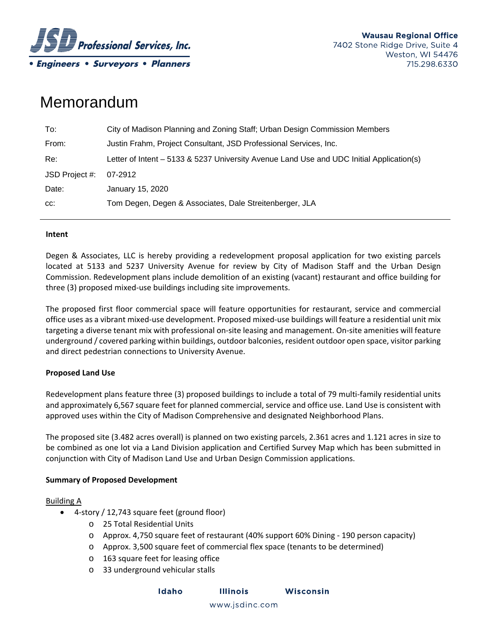

# Memorandum

| To:            | City of Madison Planning and Zoning Staff; Urban Design Commission Members               |
|----------------|------------------------------------------------------------------------------------------|
| From:          | Justin Frahm, Project Consultant, JSD Professional Services, Inc.                        |
| Re:            | Letter of Intent - 5133 & 5237 University Avenue Land Use and UDC Initial Application(s) |
| JSD Project #: | 07-2912                                                                                  |
| Date:          | January 15, 2020                                                                         |
| CC.            | Tom Degen, Degen & Associates, Dale Streitenberger, JLA                                  |

## **Intent**

Degen & Associates, LLC is hereby providing a redevelopment proposal application for two existing parcels located at 5133 and 5237 University Avenue for review by City of Madison Staff and the Urban Design Commission. Redevelopment plans include demolition of an existing (vacant) restaurant and office building for three (3) proposed mixed‐use buildings including site improvements.

The proposed first floor commercial space will feature opportunities for restaurant, service and commercial office uses as a vibrant mixed‐use development. Proposed mixed‐use buildings will feature a residential unit mix targeting a diverse tenant mix with professional on‐site leasing and management. On‐site amenities will feature underground / covered parking within buildings, outdoor balconies, resident outdoor open space, visitor parking and direct pedestrian connections to University Avenue.

## **Proposed Land Use**

Redevelopment plans feature three (3) proposed buildings to include a total of 79 multi‐family residential units and approximately 6,567 square feet for planned commercial, service and office use. Land Use is consistent with approved uses within the City of Madison Comprehensive and designated Neighborhood Plans.

The proposed site (3.482 acres overall) is planned on two existing parcels, 2.361 acres and 1.121 acres in size to be combined as one lot via a Land Division application and Certified Survey Map which has been submitted in conjunction with City of Madison Land Use and Urban Design Commission applications.

## **Summary of Proposed Development**

#### Building A

- 4-story / 12,743 square feet (ground floor)
	- o 25 Total Residential Units
	- o Approx. 4,750 square feet of restaurant (40% support 60% Dining ‐ 190 person capacity)
	- o Approx. 3,500 square feet of commercial flex space (tenants to be determined)
	- o 163 square feet for leasing office
	- o 33 underground vehicular stalls

**Illinois** Wisconsin Idaho

www.jsdinc.com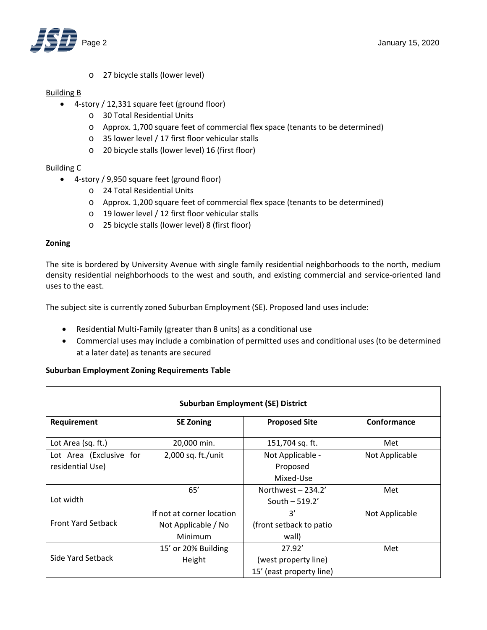

o 27 bicycle stalls (lower level)

#### Building B

- 4-story / 12,331 square feet (ground floor)
	- o 30 Total Residential Units
	- o Approx. 1,700 square feet of commercial flex space (tenants to be determined)
	- o 35 lower level / 17 first floor vehicular stalls
	- o 20 bicycle stalls (lower level) 16 (first floor)

## Building C

- 4-story / 9,950 square feet (ground floor)
	- o 24 Total Residential Units
	- o Approx. 1,200 square feet of commercial flex space (tenants to be determined)
	- o 19 lower level / 12 first floor vehicular stalls
	- o 25 bicycle stalls (lower level) 8 (first floor)

#### **Zoning**

The site is bordered by University Avenue with single family residential neighborhoods to the north, medium density residential neighborhoods to the west and south, and existing commercial and service‐oriented land uses to the east.

The subject site is currently zoned Suburban Employment (SE). Proposed land uses include:

- Residential Multi-Family (greater than 8 units) as a conditional use
- Commercial uses may include a combination of permitted uses and conditional uses (to be determined at a later date) as tenants are secured

## **Suburban Employment Zoning Requirements Table**

| <b>Suburban Employment (SE) District</b> |                           |                          |                |  |  |  |
|------------------------------------------|---------------------------|--------------------------|----------------|--|--|--|
| Requirement                              | <b>SE Zoning</b>          | <b>Proposed Site</b>     | Conformance    |  |  |  |
| Lot Area (sq. ft.)                       | 20,000 min.               | 151,704 sq. ft.          | Met            |  |  |  |
| Lot Area (Exclusive for                  | 2,000 sq. ft./unit        | Not Applicable -         | Not Applicable |  |  |  |
| residential Use)                         |                           | Proposed                 |                |  |  |  |
|                                          |                           | Mixed-Use                |                |  |  |  |
|                                          | 65'                       | Northwest $-234.2'$      | Met            |  |  |  |
| Lot width                                |                           | South $-519.2'$          |                |  |  |  |
|                                          | If not at corner location | 3'                       | Not Applicable |  |  |  |
| <b>Front Yard Setback</b>                | Not Applicable / No       | (front setback to patio  |                |  |  |  |
|                                          | Minimum                   | wall)                    |                |  |  |  |
|                                          | 15' or 20% Building       | 27.92'                   | Met            |  |  |  |
| Side Yard Setback                        | Height                    | (west property line)     |                |  |  |  |
|                                          |                           | 15' (east property line) |                |  |  |  |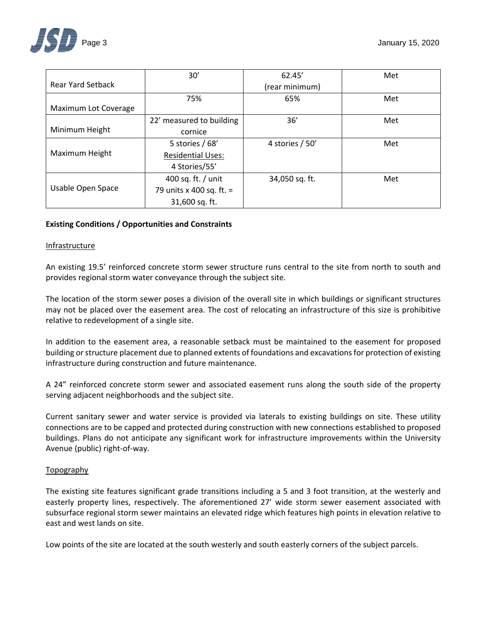

|                          | 30'                      | 62.45'           | Met |
|--------------------------|--------------------------|------------------|-----|
| <b>Rear Yard Setback</b> |                          | (rear minimum)   |     |
|                          | 75%                      | 65%              | Met |
| Maximum Lot Coverage     |                          |                  |     |
|                          | 22' measured to building | 36'              | Met |
| Minimum Height           | cornice                  |                  |     |
|                          | 5 stories $/68'$         | 4 stories $/50'$ | Met |
| Maximum Height           | <b>Residential Uses:</b> |                  |     |
|                          | 4 Stories/55'            |                  |     |
|                          | 400 sq. ft. / unit       | 34,050 sq. ft.   | Met |
| Usable Open Space        | 79 units x 400 sq. ft. = |                  |     |
|                          | 31,600 sq. ft.           |                  |     |

## **Existing Conditions / Opportunities and Constraints**

#### Infrastructure

An existing 19.5' reinforced concrete storm sewer structure runs central to the site from north to south and provides regional storm water conveyance through the subject site.

The location of the storm sewer poses a division of the overall site in which buildings or significant structures may not be placed over the easement area. The cost of relocating an infrastructure of this size is prohibitive relative to redevelopment of a single site.

In addition to the easement area, a reasonable setback must be maintained to the easement for proposed building or structure placement due to planned extents of foundations and excavations for protection of existing infrastructure during construction and future maintenance.

A 24" reinforced concrete storm sewer and associated easement runs along the south side of the property serving adjacent neighborhoods and the subject site.

Current sanitary sewer and water service is provided via laterals to existing buildings on site. These utility connections are to be capped and protected during construction with new connections established to proposed buildings. Plans do not anticipate any significant work for infrastructure improvements within the University Avenue (public) right‐of‐way.

#### Topography

The existing site features significant grade transitions including a 5 and 3 foot transition, at the westerly and easterly property lines, respectively. The aforementioned 27' wide storm sewer easement associated with subsurface regional storm sewer maintains an elevated ridge which features high points in elevation relative to east and west lands on site.

Low points of the site are located at the south westerly and south easterly corners of the subject parcels.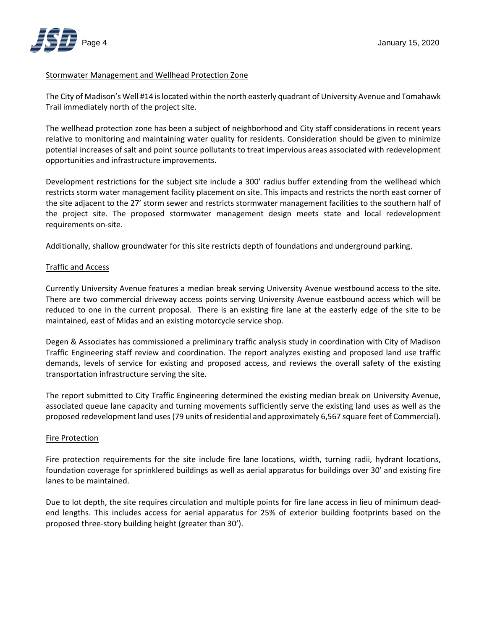

## Stormwater Management and Wellhead Protection Zone

The City of Madison's Well #14 islocated within the north easterly quadrant of University Avenue and Tomahawk Trail immediately north of the project site.

The wellhead protection zone has been a subject of neighborhood and City staff considerations in recent years relative to monitoring and maintaining water quality for residents. Consideration should be given to minimize potential increases of salt and point source pollutants to treat impervious areas associated with redevelopment opportunities and infrastructure improvements.

Development restrictions for the subject site include a 300' radius buffer extending from the wellhead which restricts storm water management facility placement on site. This impacts and restricts the north east corner of the site adjacent to the 27' storm sewer and restricts stormwater management facilities to the southern half of the project site. The proposed stormwater management design meets state and local redevelopment requirements on‐site.

Additionally, shallow groundwater for this site restricts depth of foundations and underground parking.

#### Traffic and Access

Currently University Avenue features a median break serving University Avenue westbound access to the site. There are two commercial driveway access points serving University Avenue eastbound access which will be reduced to one in the current proposal. There is an existing fire lane at the easterly edge of the site to be maintained, east of Midas and an existing motorcycle service shop.

Degen & Associates has commissioned a preliminary traffic analysis study in coordination with City of Madison Traffic Engineering staff review and coordination. The report analyzes existing and proposed land use traffic demands, levels of service for existing and proposed access, and reviews the overall safety of the existing transportation infrastructure serving the site.

The report submitted to City Traffic Engineering determined the existing median break on University Avenue, associated queue lane capacity and turning movements sufficiently serve the existing land uses as well as the proposed redevelopment land uses (79 units of residential and approximately 6,567 square feet of Commercial).

#### Fire Protection

Fire protection requirements for the site include fire lane locations, width, turning radii, hydrant locations, foundation coverage for sprinklered buildings as well as aerial apparatus for buildings over 30' and existing fire lanes to be maintained.

Due to lot depth, the site requires circulation and multiple points for fire lane access in lieu of minimum deadend lengths. This includes access for aerial apparatus for 25% of exterior building footprints based on the proposed three‐story building height (greater than 30').